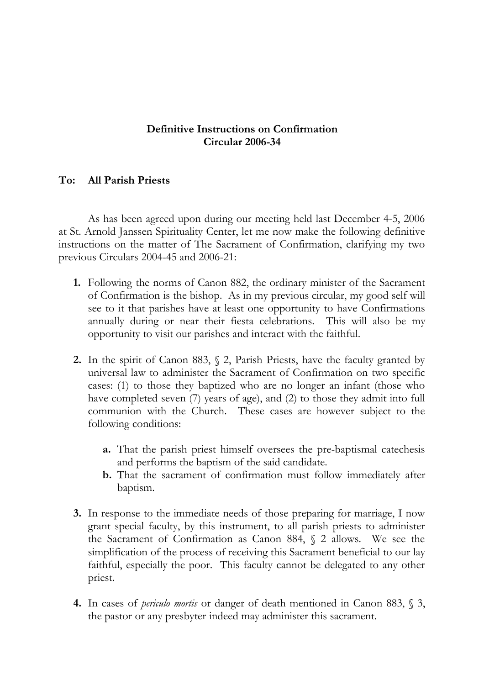## **Definitive Instructions on Confirmation Circular 2006-34**

## **To: All Parish Priests**

As has been agreed upon during our meeting held last December 4-5, 2006 at St. Arnold Janssen Spirituality Center, let me now make the following definitive instructions on the matter of The Sacrament of Confirmation, clarifying my two previous Circulars 2004-45 and 2006-21:

- **1.** Following the norms of Canon 882, the ordinary minister of the Sacrament of Confirmation is the bishop. As in my previous circular, my good self will see to it that parishes have at least one opportunity to have Confirmations annually during or near their fiesta celebrations. This will also be my opportunity to visit our parishes and interact with the faithful.
- **2.** In the spirit of Canon 883, § 2, Parish Priests, have the faculty granted by universal law to administer the Sacrament of Confirmation on two specific cases: (1) to those they baptized who are no longer an infant (those who have completed seven (7) years of age), and (2) to those they admit into full communion with the Church. These cases are however subject to the following conditions:
	- **a.** That the parish priest himself oversees the pre-baptismal catechesis and performs the baptism of the said candidate.
	- **b.** That the sacrament of confirmation must follow immediately after baptism.
- **3.** In response to the immediate needs of those preparing for marriage, I now grant special faculty, by this instrument, to all parish priests to administer the Sacrament of Confirmation as Canon 884, § 2 allows. We see the simplification of the process of receiving this Sacrament beneficial to our lay faithful, especially the poor. This faculty cannot be delegated to any other priest.
- **4.** In cases of *periculo mortis* or danger of death mentioned in Canon 883, § 3, the pastor or any presbyter indeed may administer this sacrament.